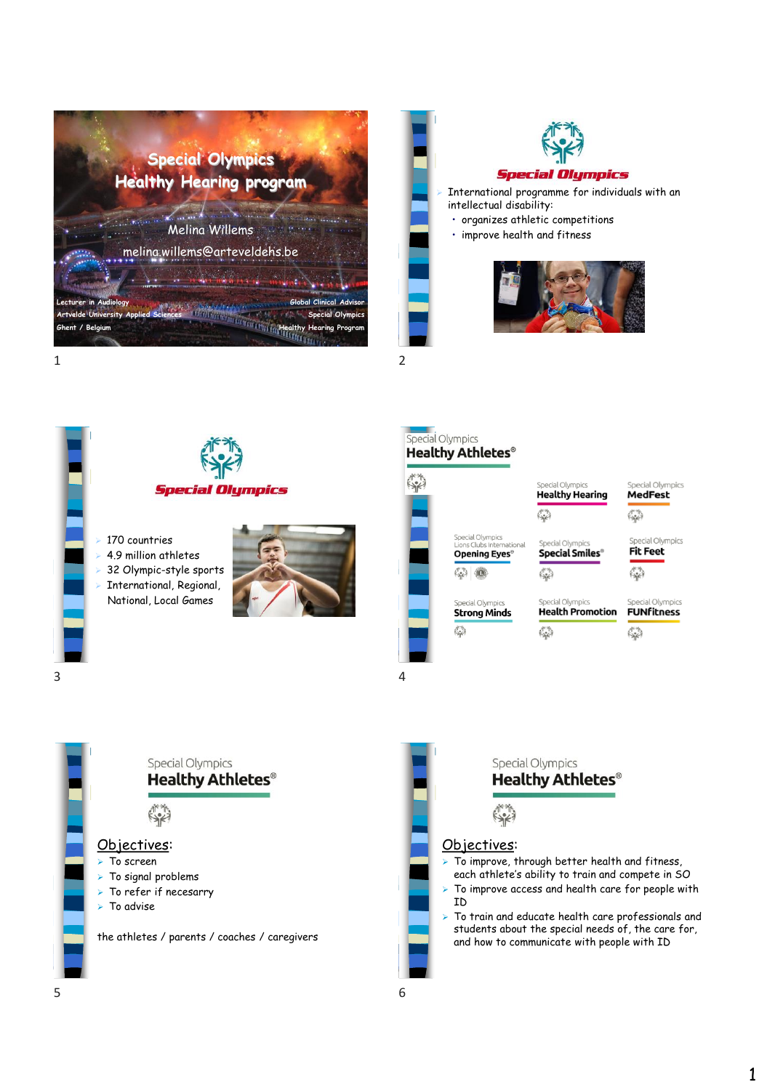







### Special Olympics **Healthy Athletes®**





Special Olympics

## **Fit Feet**

僻

Special Olympic **Strong Minds**  Special Olympics **Health Promotion**  $\frac{1}{2}$ 

**Special Olympics** 

Special Olympic

**Special Smiles®** 

 $\mathbb{S}^n$ 

 $\binom{11}{2}$ 

stis

**Healthy Hearing** 

Special Olympics **FUNFitness**  $\mathcal{L}^*$ 

**Special Olympics Healthy Athletes<sup>®</sup>**  $\mathbb{R}^*$ Objectives: ➢ To screen ➢ To signal problems ➢ To refer if necesarry ➢ To advise the athletes / parents / coaches / caregivers



1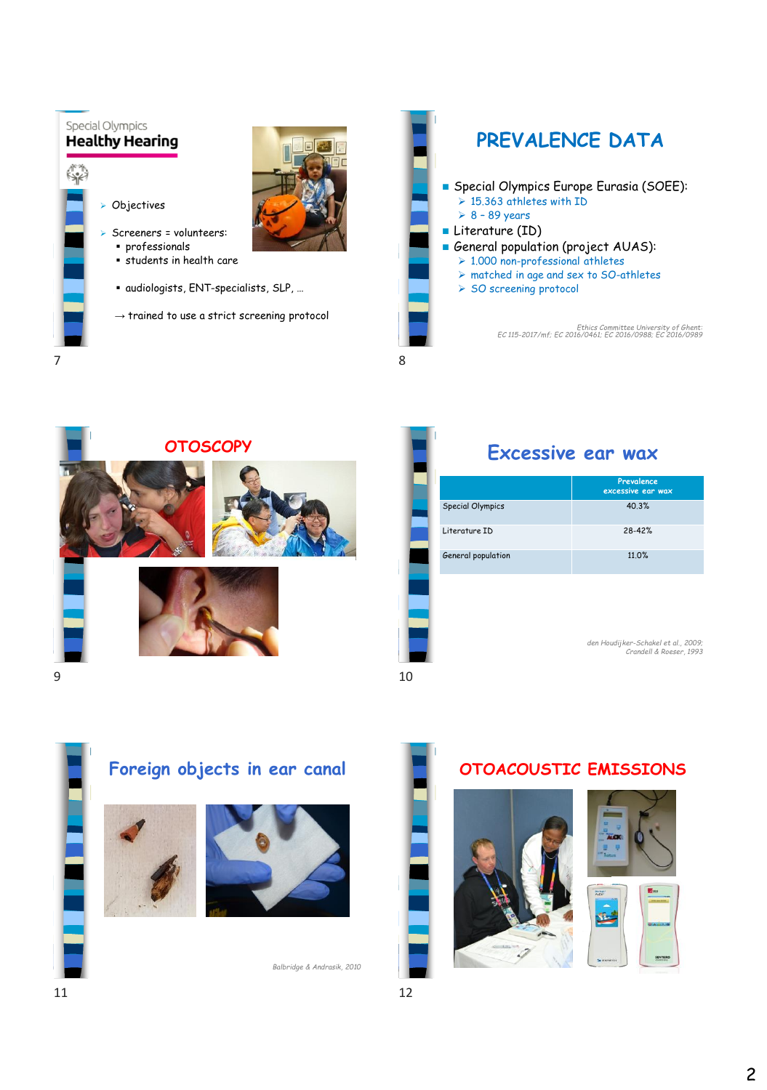



| <b>OTOSCOPY</b> |                         | Excessive ear wax                   |
|-----------------|-------------------------|-------------------------------------|
|                 |                         | Prevalence<br>excessive ear wax     |
|                 | <b>Special Olympics</b> | 40.3%                               |
|                 | Literature ID           | 28-42%                              |
|                 | General population      | 11.0%                               |
|                 |                         |                                     |
|                 |                         | den Houdijker-Schakel et al., 2009; |
|                 |                         | Crandell & Roeser, 1993             |





*Balbridge & Andrasik, 2010*

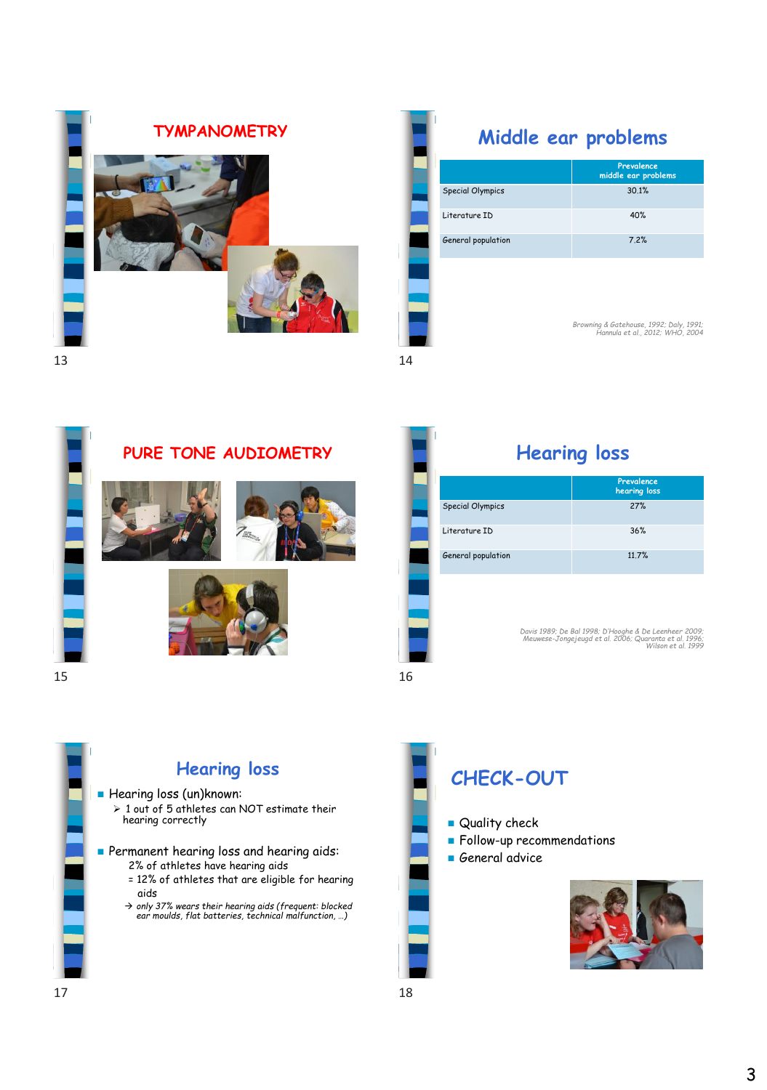

|                         | Prevalence<br>middle ear problems |
|-------------------------|-----------------------------------|
| <b>Special Olympics</b> | 30.1%                             |
| Literature ID           | 40%                               |
| General population      | 7.2%                              |
|                         |                                   |
|                         |                                   |

*Browning & Gatehouse, 1992; Daly, 1991; Hannula et al., 2012; WHO, 2004*



### **PURE TONE AUDIOMETRY Hearing loss**









|                         | Prevalence<br>hearing loss |
|-------------------------|----------------------------|
| <b>Special Olympics</b> | 27%                        |
| Literature ID           | 36%                        |
| General population      | 11.7%                      |

*Davis 1989; De Bal 1998; D'Hooghe & De Leenheer 2009; Meuwese-Jongejeugd et al. 2006; Quaranta et al. 1996; Wilson et al. 1999*

 $15$  16



- Quality check
- Follow-up recommendations
- General advice

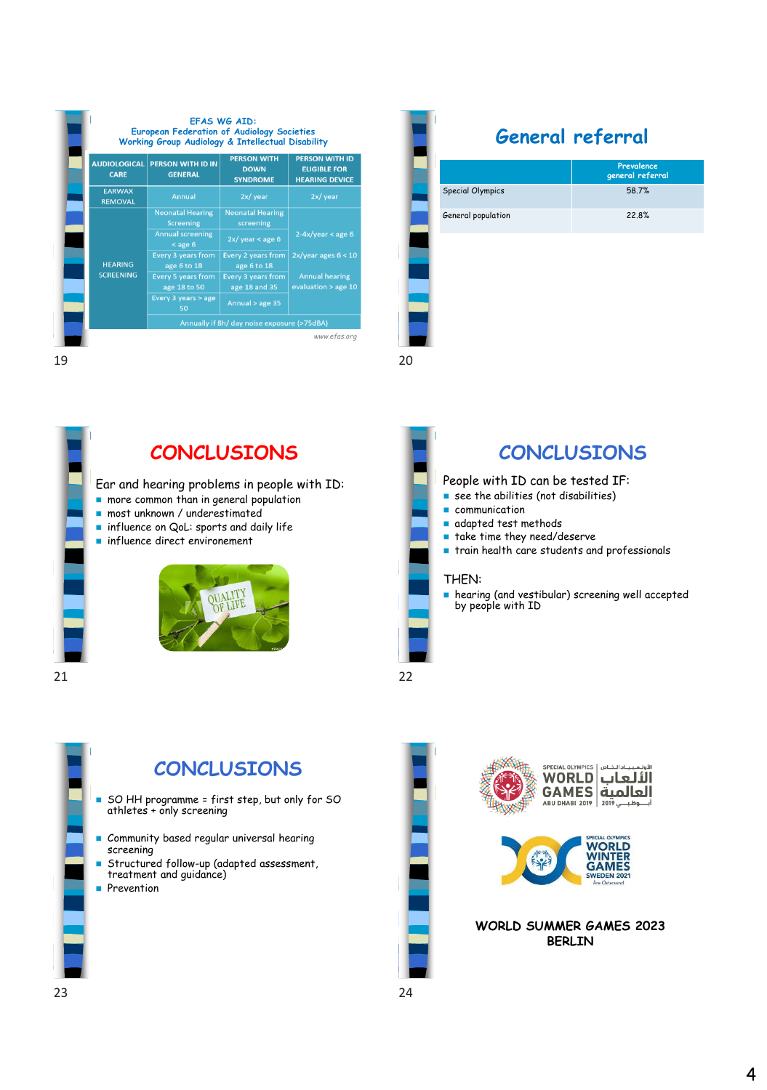|                                    |                                             | Working Group Audiology & Intellectual Disability    |                                                                       |
|------------------------------------|---------------------------------------------|------------------------------------------------------|-----------------------------------------------------------------------|
| <b>AUDIOLOGICAL</b><br><b>CARE</b> | <b>PERSON WITH ID IN</b><br><b>GENERAL</b>  | <b>PERSON WITH</b><br><b>DOWN</b><br><b>SYNDROME</b> | <b>PERSON WITH ID</b><br><b>ELIGIBLE FOR</b><br><b>HEARING DEVICE</b> |
| <b>EARWAX</b><br><b>REMOVAL</b>    | Annual                                      | 2x/year                                              | 2x/year                                                               |
| <b>HEARING</b><br><b>SCREENING</b> | <b>Neonatal Hearing</b><br><b>Screening</b> | <b>Neonatal Hearing</b><br>screening                 | $2-4x/year < age 6$                                                   |
|                                    | <b>Annual screening</b><br>$<$ age 6        | $2x/\text{ year} <$ age 6                            |                                                                       |
|                                    | <b>Every 3 years from</b><br>age 6 to 18    | <b>Every 2 years from</b><br>age 6 to 18             | $2x/year$ ages $6 < 10$                                               |
|                                    | <b>Every 5 years from</b><br>age 18 to 50   | <b>Every 3 years from</b><br>age 18 and 35           | <b>Annual hearing</b><br>evaluation > age 10                          |
|                                    | Every 3 years > age<br>50                   | Annual > age 35                                      |                                                                       |
|                                    | Annually if 8h/ day noise exposure (>75dBA) |                                                      |                                                                       |

**General referral Prevalence general referral** Special Olympics 58.7% General population 22.8%

 $19$  20



Ear and hearing problems in people with ID:

- more common than in general population
- most unknown / underestimated
- influence on QoL: sports and daily life
- influence direct environement





# **CONCLUSIONS CONCLUSIONS**

### People with ID can be tested IF:

- $\blacksquare$  see the abilities (not disabilities)
- communication
- adapted test methods
- take time they need/deserve
- train health care students and professionals
- hearing (and vestibular) screening well accepted by people with ID

21 22